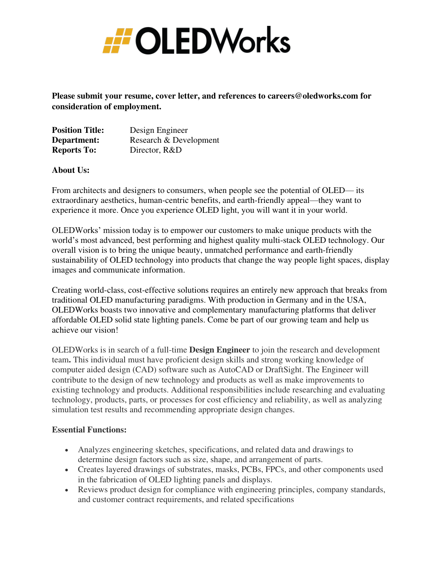

**Please submit your resume, cover letter, and references to careers@oledworks.com for consideration of employment.** 

| <b>Position Title:</b> | Design Engineer        |
|------------------------|------------------------|
| Department:            | Research & Development |
| <b>Reports To:</b>     | Director, R&D          |

### **About Us:**

From architects and designers to consumers, when people see the potential of OLED— its extraordinary aesthetics, human-centric benefits, and earth-friendly appeal—they want to experience it more. Once you experience OLED light, you will want it in your world.

OLEDWorks' mission today is to empower our customers to make unique products with the world's most advanced, best performing and highest quality multi-stack OLED technology. Our overall vision is to bring the unique beauty, unmatched performance and earth-friendly sustainability of OLED technology into products that change the way people light spaces, display images and communicate information.

Creating world-class, cost-effective solutions requires an entirely new approach that breaks from traditional OLED manufacturing paradigms. With production in Germany and in the USA, OLEDWorks boasts two innovative and complementary manufacturing platforms that deliver affordable OLED solid state lighting panels. Come be part of our growing team and help us achieve our vision!

OLEDWorks is in search of a full-time **Design Engineer** to join the research and development team**.** This individual must have proficient design skills and strong working knowledge of computer aided design (CAD) software such as AutoCAD or DraftSight. The Engineer will contribute to the design of new technology and products as well as make improvements to existing technology and products. Additional responsibilities include researching and evaluating technology, products, parts, or processes for cost efficiency and reliability, as well as analyzing simulation test results and recommending appropriate design changes.

#### **Essential Functions:**

- Analyzes engineering sketches, specifications, and related data and drawings to determine design factors such as size, shape, and arrangement of parts.
- Creates layered drawings of substrates, masks, PCBs, FPCs, and other components used in the fabrication of OLED lighting panels and displays.
- Reviews product design for compliance with engineering principles, company standards, and customer contract requirements, and related specifications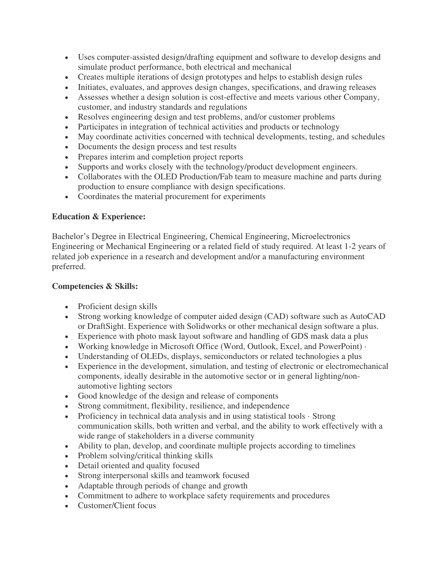- Uses computer-assisted design/drafting equipment and software to develop designs and simulate product performance, both electrical and mechanical
- Creates multiple iterations of design prototypes and helps to establish design rules
- Initiates, evaluates, and approves design changes, specifications, and drawing releases
- Assesses whether a design solution is cost-effective and meets various other Company, customer, and industry standards and regulations
- Resolves engineering design and test problems, and/or customer problems
- Participates in integration of technical activities and products or technology
- May coordinate activities concerned with technical developments, testing, and schedules
- Documents the design process and test results
- Prepares interim and completion project reports
- Supports and works closely with the technology/product development engineers.
- Collaborates with the OLED Production/Fab team to measure machine and parts during production to ensure compliance with design specifications.
- Coordinates the material procurement for experiments

# **Education & Experience:**

Bachelor's Degree in Electrical Engineering, Chemical Engineering, Microelectronics Engineering or Mechanical Engineering or a related field of study required. At least 1-2 years of related job experience in a research and development and/or a manufacturing environment preferred.

# **Competencies & Skills:**

- Proficient design skills
- Strong working knowledge of computer aided design (CAD) software such as AutoCAD or DraftSight. Experience with Solidworks or other mechanical design software a plus.
- Experience with photo mask layout software and handling of GDS mask data a plus
- Working knowledge in Microsoft Office (Word, Outlook, Excel, and PowerPoint) ·
- Understanding of OLEDs, displays, semiconductors or related technologies a plus
- Experience in the development, simulation, and testing of electronic or electromechanical components, ideally desirable in the automotive sector or in general lighting/nonautomotive lighting sectors
- Good knowledge of the design and release of components
- Strong commitment, flexibility, resilience, and independence
- Proficiency in technical data analysis and in using statistical tools · Strong communication skills, both written and verbal, and the ability to work effectively with a wide range of stakeholders in a diverse community
- Ability to plan, develop, and coordinate multiple projects according to timelines
- Problem solving/critical thinking skills
- Detail oriented and quality focused
- Strong interpersonal skills and teamwork focused
- Adaptable through periods of change and growth
- Commitment to adhere to workplace safety requirements and procedures
- Customer/Client focus